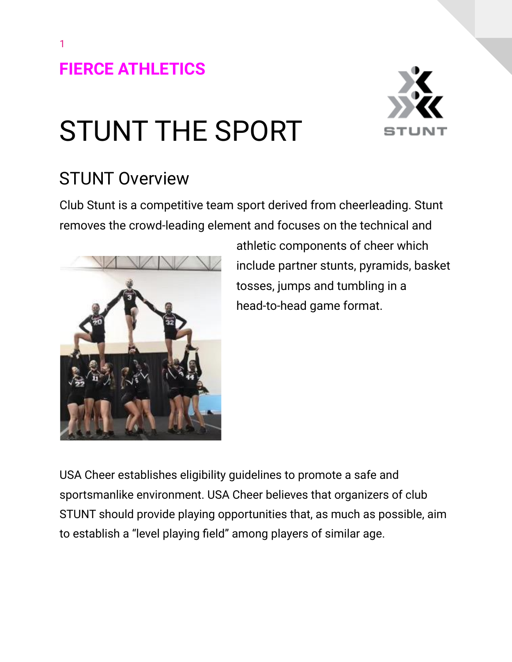1



# STUNT THE SPORT

## STUNT Overview

Club Stunt is a competitive team sport derived from cheerleading. Stunt removes the crowd-leading element and focuses on the technical and



athletic components of cheer which include partner stunts, pyramids, basket tosses, jumps and tumbling in a head-to-head game format.

USA Cheer establishes eligibility guidelines to promote a safe and sportsmanlike environment. USA Cheer believes that organizers of club STUNT should provide playing opportunities that, as much as possible, aim to establish a "level playing field" among players of similar age.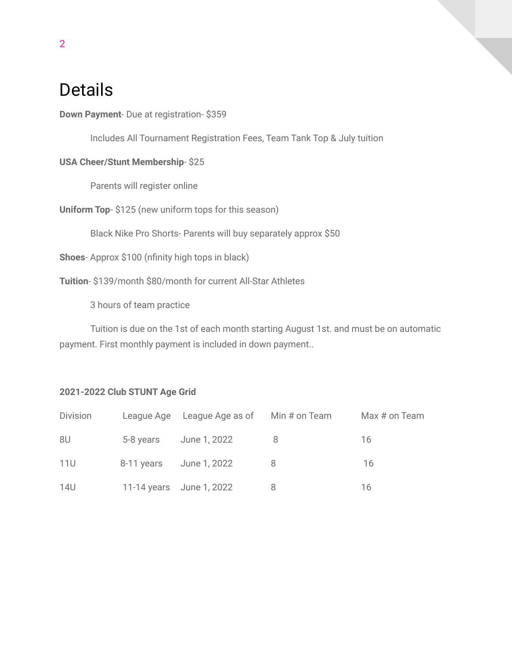### Details

**Down Payment**- Due at registration- \$359

Includes All Tournament Registration Fees, Team Tank Top & July tuition

#### **USA Cheer/Stunt Membership**- \$25

Parents will register online

**Uniform Top**- \$125 (new uniform tops for this season)

Black Nike Pro Shorts- Parents will buy separately approx \$50

**Shoes**- Approx \$100 (nfinity high tops in black)

**Tuition**- \$139/month \$80/month for current All-Star Athletes

3 hours of team practice

Tuition is due on the 1st of each month starting August 1st. and must be on automatic payment. First monthly payment is included in down payment..

#### **2021-2022 Club STUNT Age Grid**

| Division   | League Age League Age as of Min # on Team | Max # on Team |
|------------|-------------------------------------------|---------------|
| 8U         | 5-8 years June 1, 2022                    | 16            |
| <b>11U</b> | 8-11 years June 1, 2022                   | 16            |
| 14U        | 11-14 years June 1, 2022                  | 16            |